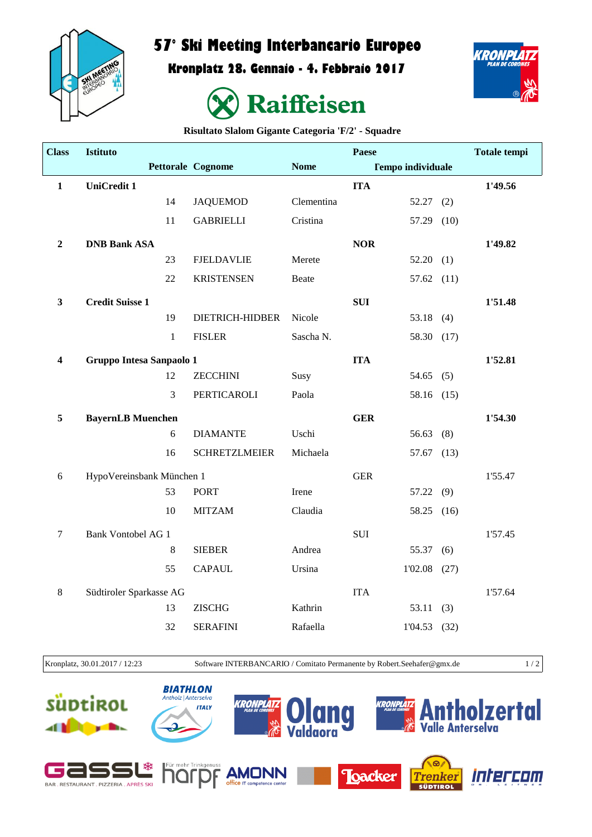

## **57° Ski Meeting Interbancario Europeo**

**Kronplatz 28. Gennaio - 4. Febbraio 2017**





**Risultato Slalom Gigante Categoria 'F/2' - Squadre**

| <b>Class</b>     | <b>Istituto</b>           |              |                          |             | Paese      |                          |      | <b>Totale tempi</b> |
|------------------|---------------------------|--------------|--------------------------|-------------|------------|--------------------------|------|---------------------|
|                  |                           |              | <b>Pettorale Cognome</b> | <b>Nome</b> |            | <b>Tempo individuale</b> |      |                     |
| $\mathbf{1}$     | <b>UniCredit 1</b>        |              |                          |             | <b>ITA</b> |                          |      | 1'49.56             |
|                  |                           | 14           | <b>JAQUEMOD</b>          | Clementina  |            | 52.27                    | (2)  |                     |
|                  |                           | 11           | <b>GABRIELLI</b>         | Cristina    |            | 57.29 (10)               |      |                     |
| $\boldsymbol{2}$ | <b>DNB Bank ASA</b>       |              |                          |             | <b>NOR</b> |                          |      | 1'49.82             |
|                  |                           | 23           | <b>FJELDAVLIE</b>        | Merete      |            | 52.20(1)                 |      |                     |
|                  |                           | 22           | <b>KRISTENSEN</b>        | Beate       |            | 57.62                    | (11) |                     |
| $\mathbf{3}$     | <b>Credit Suisse 1</b>    |              |                          |             | <b>SUI</b> |                          |      | 1'51.48             |
|                  |                           | 19           | <b>DIETRICH-HIDBER</b>   | Nicole      |            | 53.18                    | (4)  |                     |
|                  |                           | $\mathbf{1}$ | <b>FISLER</b>            | Sascha N.   |            | 58.30 (17)               |      |                     |
| 4                | Gruppo Intesa Sanpaolo 1  |              |                          |             | <b>ITA</b> |                          |      | 1'52.81             |
|                  |                           | 12           | <b>ZECCHINI</b>          | Susy        |            | 54.65 $(5)$              |      |                     |
|                  |                           | 3            | PERTICAROLI              | Paola       |            | 58.16 (15)               |      |                     |
| 5                | <b>BayernLB Muenchen</b>  |              |                          |             | <b>GER</b> |                          |      | 1'54.30             |
|                  |                           | 6            | <b>DIAMANTE</b>          | Uschi       |            | 56.63                    | (8)  |                     |
|                  |                           | 16           | <b>SCHRETZLMEIER</b>     | Michaela    |            | 57.67                    | (13) |                     |
| 6                | HypoVereinsbank München 1 |              |                          |             | <b>GER</b> |                          |      | 1'55.47             |
|                  |                           | 53           | <b>PORT</b>              | Irene       |            | 57.22                    | (9)  |                     |
|                  |                           | 10           | <b>MITZAM</b>            | Claudia     |            | 58.25 (16)               |      |                     |
| $\boldsymbol{7}$ | <b>Bank Vontobel AG 1</b> |              |                          |             | <b>SUI</b> |                          |      | 1'57.45             |
|                  |                           | $\,8\,$      | <b>SIEBER</b>            | Andrea      |            | 55.37                    | (6)  |                     |
|                  |                           | 55           | <b>CAPAUL</b>            | Ursina      |            | 1'02.08                  | (27) |                     |
| 8                | Südtiroler Sparkasse AG   |              |                          |             | <b>ITA</b> |                          |      | 1'57.64             |
|                  |                           | 13           | <b>ZISCHG</b>            | Kathrin     |            | 53.11                    | (3)  |                     |
|                  |                           | 32           | <b>SERAFINI</b>          | Rafaella    |            | $1'04.53$ (32)           |      |                     |
|                  |                           |              |                          |             |            |                          |      |                     |

Kronplatz, 30.01.2017 / 12:23 Software INTERBANCARIO / Comitato Permanente by Robert.Seehafer@gmx.de 1 / 2